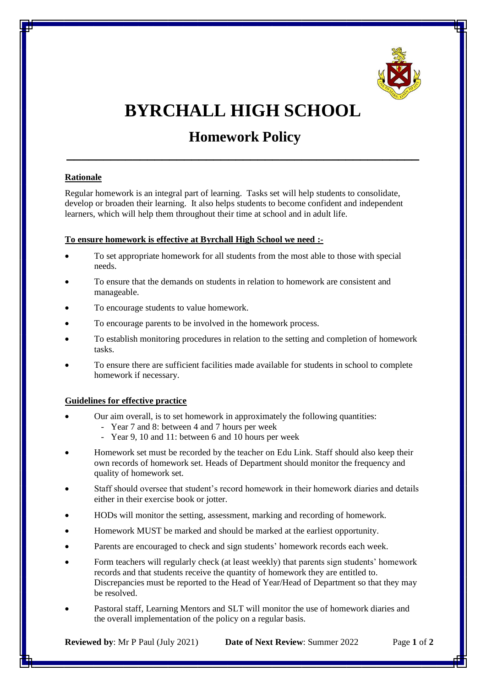

# **BYRCHALL HIGH SCHOOL**

# **Homework Policy**

**\_\_\_\_\_\_\_\_\_\_\_\_\_\_\_\_\_\_\_\_\_\_\_\_\_\_\_\_\_\_\_\_\_\_\_\_\_\_\_\_\_\_\_\_\_\_\_\_**

## **Rationale**

Regular homework is an integral part of learning. Tasks set will help students to consolidate, develop or broaden their learning. It also helps students to become confident and independent learners, which will help them throughout their time at school and in adult life.

#### **To ensure homework is effective at Byrchall High School we need :-**

- To set appropriate homework for all students from the most able to those with special needs.
- To ensure that the demands on students in relation to homework are consistent and manageable.
- To encourage students to value homework.
- To encourage parents to be involved in the homework process.
- To establish monitoring procedures in relation to the setting and completion of homework tasks.
- To ensure there are sufficient facilities made available for students in school to complete homework if necessary.

## **Guidelines for effective practice**

- Our aim overall, is to set homework in approximately the following quantities:
	- Year 7 and 8: between 4 and 7 hours per week
	- Year 9, 10 and 11: between 6 and 10 hours per week
- Homework set must be recorded by the teacher on Edu Link. Staff should also keep their own records of homework set. Heads of Department should monitor the frequency and quality of homework set.
- Staff should oversee that student's record homework in their homework diaries and details either in their exercise book or jotter.
- HODs will monitor the setting, assessment, marking and recording of homework.
- Homework MUST be marked and should be marked at the earliest opportunity.
- Parents are encouraged to check and sign students' homework records each week.
- Form teachers will regularly check (at least weekly) that parents sign students' homework records and that students receive the quantity of homework they are entitled to. Discrepancies must be reported to the Head of Year/Head of Department so that they may be resolved.
- Pastoral staff, Learning Mentors and SLT will monitor the use of homework diaries and the overall implementation of the policy on a regular basis.